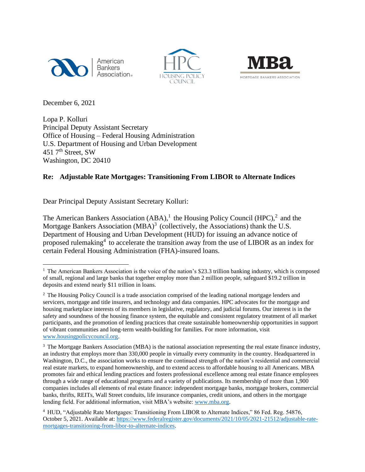





December 6, 2021

Lopa P. Kolluri Principal Deputy Assistant Secretary Office of Housing – Federal Housing Administration U.S. Department of Housing and Urban Development 451 7<sup>th</sup> Street, SW Washington, DC 20410

## **Re: Adjustable Rate Mortgages: Transitioning From LIBOR to Alternate Indices**

Dear Principal Deputy Assistant Secretary Kolluri:

The American Bankers Association  $(ABA)$ ,<sup>1</sup> the Housing Policy Council  $(HPC)$ ,<sup>2</sup> and the Mortgage Bankers Association (MBA)<sup>3</sup> (collectively, the Associations) thank the U.S. Department of Housing and Urban Development (HUD) for issuing an advance notice of proposed rulemaking<sup>4</sup> to accelerate the transition away from the use of LIBOR as an index for certain Federal Housing Administration (FHA)-insured loans.

<sup>&</sup>lt;sup>1</sup> The American Bankers Association is the voice of the nation's \$23.3 trillion banking industry, which is composed of small, regional and large banks that together employ more than 2 million people, safeguard \$19.2 trillion in deposits and extend nearly \$11 trillion in loans.

<sup>&</sup>lt;sup>2</sup> The Housing Policy Council is a trade association comprised of the leading national mortgage lenders and servicers, mortgage and title insurers, and technology and data companies. HPC advocates for the mortgage and housing marketplace interests of its members in legislative, regulatory, and judicial forums. Our interest is in the safety and soundness of the housing finance system, the equitable and consistent regulatory treatment of all market participants, and the promotion of lending practices that create sustainable homeownership opportunities in support of vibrant communities and long-term wealth-building for families. For more information, visit [www.housingpolicycouncil.org.](http://www.housingpolicycouncil.org/)

<sup>&</sup>lt;sup>3</sup> The Mortgage Bankers Association (MBA) is the national association representing the real estate finance industry, an industry that employs more than 330,000 people in virtually every community in the country. Headquartered in Washington, D.C., the association works to ensure the continued strength of the nation's residential and commercial real estate markets, to expand homeownership, and to extend access to affordable housing to all Americans. MBA promotes fair and ethical lending practices and fosters professional excellence among real estate finance employees through a wide range of educational programs and a variety of publications. Its membership of more than 1,900 companies includes all elements of real estate finance: independent mortgage banks, mortgage brokers, commercial banks, thrifts, REITs, Wall Street conduits, life insurance companies, credit unions, and others in the mortgage lending field. For additional information, visit MBA's website: [www.mba.org.](http://www.mba.org/)

<sup>4</sup> HUD, "Adjustable Rate Mortgages: Transitioning From LIBOR to Alternate Indices," 86 Fed. Reg. 54876, October 5, 2021. Available at[: https://www.federalregister.gov/documents/2021/10/05/2021-21512/adjustable-rate](https://www.federalregister.gov/documents/2021/10/05/2021-21512/adjustable-rate-mortgages-transitioning-from-libor-to-alternate-indices)[mortgages-transitioning-from-libor-to-alternate-indices.](https://www.federalregister.gov/documents/2021/10/05/2021-21512/adjustable-rate-mortgages-transitioning-from-libor-to-alternate-indices)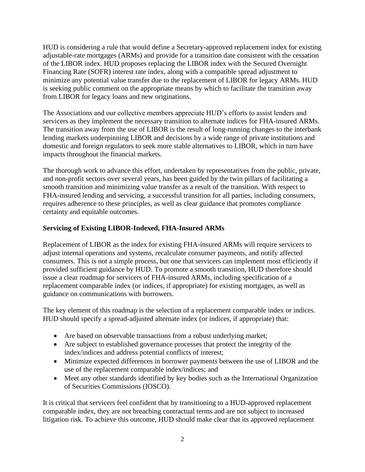HUD is considering a rule that would define a Secretary-approved replacement index for existing adjustable-rate mortgages (ARMs) and provide for a transition date consistent with the cessation of the LIBOR index. HUD proposes replacing the LIBOR index with the Secured Overnight Financing Rate (SOFR) interest rate index, along with a compatible spread adjustment to minimize any potential value transfer due to the replacement of LIBOR for legacy ARMs. HUD is seeking public comment on the appropriate means by which to facilitate the transition away from LIBOR for legacy loans and new originations.

The Associations and our collective members appreciate HUD's efforts to assist lenders and servicers as they implement the necessary transition to alternate indices for FHA-insured ARMs. The transition away from the use of LIBOR is the result of long-running changes to the interbank lending markets underpinning LIBOR and decisions by a wide range of private institutions and domestic and foreign regulators to seek more stable alternatives to LIBOR, which in turn have impacts throughout the financial markets.

The thorough work to advance this effort, undertaken by representatives from the public, private, and non-profit sectors over several years, has been guided by the twin pillars of facilitating a smooth transition and minimizing value transfer as a result of the transition. With respect to FHA-insured lending and servicing, a successful transition for all parties, including consumers, requires adherence to these principles, as well as clear guidance that promotes compliance certainty and equitable outcomes.

## **Servicing of Existing LIBOR-Indexed, FHA-Insured ARMs**

Replacement of LIBOR as the index for existing FHA-insured ARMs will require servicers to adjust internal operations and systems, recalculate consumer payments, and notify affected consumers. This is not a simple process, but one that servicers can implement most efficiently if provided sufficient guidance by HUD. To promote a smooth transition, HUD therefore should issue a clear roadmap for servicers of FHA-insured ARMs, including specification of a replacement comparable index (or indices, if appropriate) for existing mortgages, as well as guidance on communications with borrowers.

The key element of this roadmap is the selection of a replacement comparable index or indices. HUD should specify a spread-adjusted alternate index (or indices, if appropriate) that:

- Are based on observable transactions from a robust underlying market;
- Are subject to established governance processes that protect the integrity of the index/indices and address potential conflicts of interest;
- Minimize expected differences in borrower payments between the use of LIBOR and the use of the replacement comparable index/indices; and
- Meet any other standards identified by key bodies such as the International Organization of Securities Commissions (IOSCO).

It is critical that servicers feel confident that by transitioning to a HUD-approved replacement comparable index, they are not breaching contractual terms and are not subject to increased litigation risk. To achieve this outcome, HUD should make clear that its approved replacement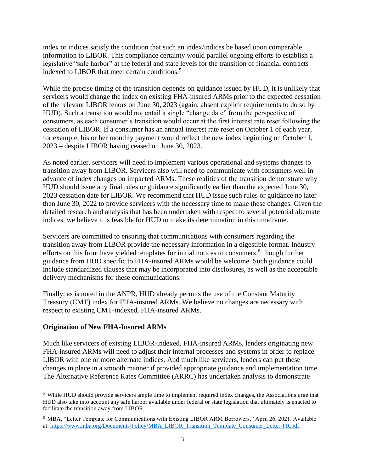index or indices satisfy the condition that such an index/indices be based upon comparable information to LIBOR. This compliance certainty would parallel ongoing efforts to establish a legislative "safe harbor" at the federal and state levels for the transition of financial contracts indexed to LIBOR that meet certain conditions.<sup>5</sup>

While the precise timing of the transition depends on guidance issued by HUD, it is unlikely that servicers would change the index on existing FHA-insured ARMs prior to the expected cessation of the relevant LIBOR tenors on June 30, 2023 (again, absent explicit requirements to do so by HUD). Such a transition would not entail a single "change date" from the perspective of consumers, as each consumer's transition would occur at the first interest rate reset following the cessation of LIBOR. If a consumer has an annual interest rate reset on October 1 of each year, for example, his or her monthly payment would reflect the new index beginning on October 1, 2023 – despite LIBOR having ceased on June 30, 2023.

As noted earlier, servicers will need to implement various operational and systems changes to transition away from LIBOR. Servicers also will need to communicate with consumers well in advance of index changes on impacted ARMs. These realities of the transition demonstrate why HUD should issue any final rules or guidance significantly earlier than the expected June 30, 2023 cessation date for LIBOR. We recommend that HUD issue such rules or guidance no later than June 30, 2022 to provide servicers with the necessary time to make these changes. Given the detailed research and analysis that has been undertaken with respect to several potential alternate indices, we believe it is feasible for HUD to make its determination in this timeframe.

Servicers are committed to ensuring that communications with consumers regarding the transition away from LIBOR provide the necessary information in a digestible format. Industry efforts on this front have yielded templates for initial notices to consumers, $6$  though further guidance from HUD specific to FHA-insured ARMs would be welcome. Such guidance could include standardized clauses that may be incorporated into disclosures, as well as the acceptable delivery mechanisms for these communications.

Finally, as is noted in the ANPR, HUD already permits the use of the Constant Maturity Treasury (CMT) index for FHA-insured ARMs. We believe no changes are necessary with respect to existing CMT-indexed, FHA-insured ARMs.

## **Origination of New FHA-Insured ARMs**

Much like servicers of existing LIBOR-indexed, FHA-insured ARMs, lenders originating new FHA-insured ARMs will need to adjust their internal processes and systems in order to replace LIBOR with one or more alternate indices. And much like servicers, lenders can put these changes in place in a smooth manner if provided appropriate guidance and implementation time. The Alternative Reference Rates Committee (ARRC) has undertaken analysis to demonstrate

<sup>5</sup> While HUD should provide servicers ample time to implement required index changes, the Associations urge that HUD also take into account any safe harbor available under federal or state legislation that ultimately is enacted to facilitate the transition away from LIBOR.

<sup>6</sup> MBA, "Letter Template for Communications with Existing LIBOR ARM Borrowers," April 26, 2021. Available at: [https://www.mba.org/Documents/Policy/MBA\\_LIBOR\\_Transition\\_Template\\_Consumer\\_Letter-PR.pdf.](https://www.mba.org/Documents/Policy/MBA_LIBOR_Transition_Template_Consumer_Letter-PR.pdf)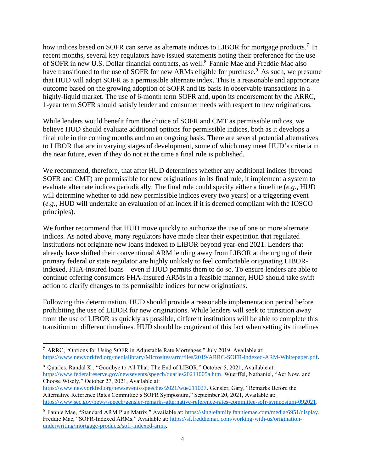how indices based on SOFR can serve as alternate indices to LIBOR for mortgage products.<sup>7</sup> In recent months, several key regulators have issued statements noting their preference for the use of SOFR in new U.S. Dollar financial contracts, as well.<sup>8</sup> Fannie Mae and Freddie Mac also have transitioned to the use of SOFR for new ARMs eligible for purchase.<sup>9</sup> As such, we presume that HUD will adopt SOFR as a permissible alternate index. This is a reasonable and appropriate outcome based on the growing adoption of SOFR and its basis in observable transactions in a highly-liquid market. The use of 6-month term SOFR and, upon its endorsement by the ARRC, 1-year term SOFR should satisfy lender and consumer needs with respect to new originations.

While lenders would benefit from the choice of SOFR and CMT as permissible indices, we believe HUD should evaluate additional options for permissible indices, both as it develops a final rule in the coming months and on an ongoing basis. There are several potential alternatives to LIBOR that are in varying stages of development, some of which may meet HUD's criteria in the near future, even if they do not at the time a final rule is published.

We recommend, therefore, that after HUD determines whether any additional indices (beyond SOFR and CMT) are permissible for new originations in its final rule, it implement a system to evaluate alternate indices periodically. The final rule could specify either a timeline (*e.g.,* HUD will determine whether to add new permissible indices every two years) or a triggering event (*e.g.,* HUD will undertake an evaluation of an index if it is deemed compliant with the IOSCO principles).

We further recommend that HUD move quickly to authorize the use of one or more alternate indices. As noted above, many regulators have made clear their expectation that regulated institutions not originate new loans indexed to LIBOR beyond year-end 2021. Lenders that already have shifted their conventional ARM lending away from LIBOR at the urging of their primary federal or state regulator are highly unlikely to feel comfortable originating LIBORindexed, FHA-insured loans – even if HUD permits them to do so. To ensure lenders are able to continue offering consumers FHA-insured ARMs in a feasible manner, HUD should take swift action to clarify changes to its permissible indices for new originations.

Following this determination, HUD should provide a reasonable implementation period before prohibiting the use of LIBOR for new originations. While lenders will seek to transition away from the use of LIBOR as quickly as possible, different institutions will be able to complete this transition on different timelines. HUD should be cognizant of this fact when setting its timelines

<sup>7</sup> ARRC, "Options for Using SOFR in Adjustable Rate Mortgages," July 2019. Available at: [https://www.newyorkfed.org/medialibrary/Microsites/arrc/files/2019/ARRC-SOFR-indexed-ARM-Whitepaper.pdf.](https://www.newyorkfed.org/medialibrary/Microsites/arrc/files/2019/ARRC-SOFR-indexed-ARM-Whitepaper.pdf)

<sup>8</sup> Quarles, Randal K., "Goodbye to All That: The End of LIBOR," October 5, 2021, Available at: [https://www.federalreserve.gov/newsevents/speech/quarles20211005a.htm.](https://www.federalreserve.gov/newsevents/speech/quarles20211005a.htm) Wuerffel, Nathaniel, "Act Now, and Choose Wisely," October 27, 2021, Available at:

[https://www.newyorkfed.org/newsevents/speeches/2021/wue211027.](https://www.newyorkfed.org/newsevents/speeches/2021/wue211027) Gensler, Gary, "Remarks Before the Alternative Reference Rates Committee's SOFR Symposium," September 20, 2021, Available at: [https://www.sec.gov/news/speech/gensler-remarks-alternative-reference-rates-committee-sofr-symposium-092021.](https://www.sec.gov/news/speech/gensler-remarks-alternative-reference-rates-committee-sofr-symposium-092021)

<sup>9</sup> Fannie Mae, "Standard ARM Plan Matrix." Available at: [https://singlefamily.fanniemae.com/media/6951/display.](https://singlefamily.fanniemae.com/media/6951/display) Freddie Mac, "SOFR-Indexed ARMs." Available at: [https://sf.freddiemac.com/working-with-us/origination](https://sf.freddiemac.com/working-with-us/origination-underwriting/mortgage-products/sofr-indexed-arms)[underwriting/mortgage-products/sofr-indexed-arms.](https://sf.freddiemac.com/working-with-us/origination-underwriting/mortgage-products/sofr-indexed-arms)